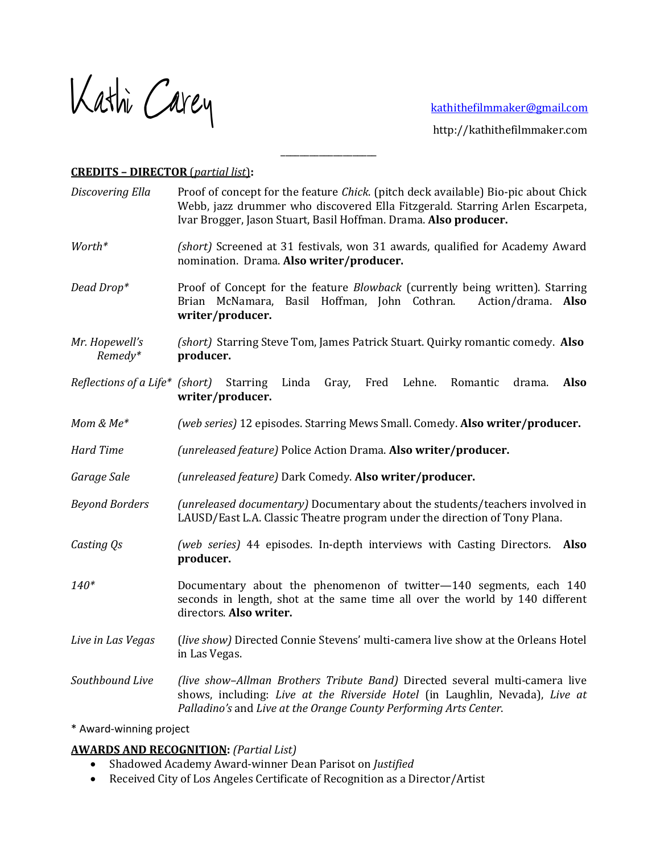Kathi Carey kathithefilmmaker@gmail.com

 http://kathithefilmmaker.com

## **CREDITS – DIRECTOR** (*partial list*)**:**

*Discovering Ella* Proof of concept for the feature *Chick*. (pitch deck available) Bio-pic about Chick Webb, jazz drummer who discovered Ella Fitzgerald. Starring Arlen Escarpeta, Ivar Brogger, Jason Stuart, Basil Hoffman. Drama. **Also producer.** 

\_\_\_\_\_\_\_\_\_\_\_\_\_\_\_\_\_\_\_\_

- *Worth*\* *(short)* Screened at 31 festivals, won 31 awards, qualified for Academy Award nomination. Drama. **Also writer/producer.**
- *Dead Drop*\* Proof of Concept for the feature *Blowback* (currently being written). Starring Brian McNamara, Basil Hoffman, John Cothran. Action/drama. **Also writer/producer.**
- *Mr. Hopewell's (short)* Starring Steve Tom, James Patrick Stuart. Quirky romantic comedy. Also  *Remedy\** **producer.**
- *Reflections of a Life\** (short) Starring Linda Gray, Fred Lehne. Romantic drama. Also **writer/producer.**
- *Mom & Me<sup>\*</sup> (web series)* 12 episodes. Starring Mews Small. Comedy. **Also writer/producer.**
- *Hard Time (unreleased feature)* Police Action Drama. **Also writer/producer.**
- *Garage Sale (unreleased feature)* Dark Comedy. **Also writer/producer.**
- *Beyond Borders (unreleased documentary)* Documentary about the students/teachers involved in LAUSD/East L.A. Classic Theatre program under the direction of Tony Plana.
- *Casting Qs (web series)* 44 episodes. In-depth interviews with Casting Directors. Also **producer.**
- 140\* Documentary about the phenomenon of twitter-140 segments, each 140 seconds in length, shot at the same time all over the world by 140 different directors. **Also writer.**
- Live in Las Vegas (*live show)* Directed Connie Stevens' multi-camera live show at the Orleans Hotel in Las Vegas.

*Southbound Live (live show–Allman Brothers Tribute Band)* Directed several multi-camera live shows, including: *Live at the Riverside Hotel* (in Laughlin, Nevada), *Live at* Palladino's and Live at the Orange County Performing Arts Center.

\* Award-winning project

## **AWARDS AND RECOGNITION:** *(Partial List)*

- Shadowed Academy Award-winner Dean Parisot on *Justified*
- Received City of Los Angeles Certificate of Recognition as a Director/Artist